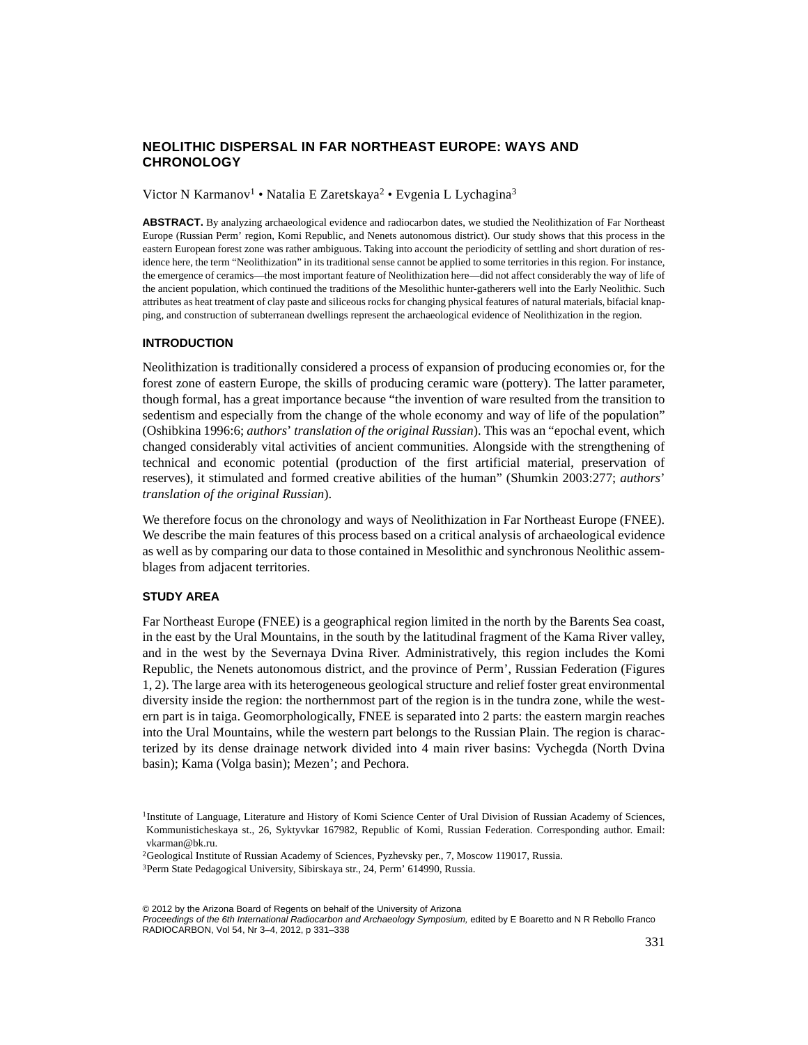# **NEOLITHIC DISPERSAL IN FAR NORTHEAST EUROPE: WAYS AND CHRONOLOGY**

#### Victor N Karmanov<sup>1</sup> • Natalia E Zaretskaya<sup>2</sup> • Evgenia L Lychagina<sup>3</sup>

ABSTRACT. By analyzing archaeological evidence and radiocarbon dates, we studied the Neolithization of Far Northeast Europe (Russian Perm' region, Komi Republic, and Nenets autonomous district). Our study shows that this process in the eastern European forest zone was rather ambiguous. Taking into account the periodicity of settling and short duration of residence here, the term "Neolithization" in its traditional sense cannot be applied to some territories in this region. For instance, the emergence of ceramics—the most important feature of Neolithization here—did not affect considerably the way of life of the ancient population, which continued the traditions of the Mesolithic hunter-gatherers well into the Early Neolithic. Such attributes as heat treatment of clay paste and siliceous rocks for changing physical features of natural materials, bifacial knapping, and construction of subterranean dwellings represent the archaeological evidence of Neolithization in the region.

#### **INTRODUCTION**

Neolithization is traditionally considered a process of expansion of producing economies or, for the forest zone of eastern Europe, the skills of producing ceramic ware (pottery). The latter parameter, though formal, has a great importance because "the invention of ware resulted from the transition to sedentism and especially from the change of the whole economy and way of life of the population" (Oshibkina 1996:6; *authors*' *translation of the original Russian*). This was an "epochal event, which changed considerably vital activities of ancient communities. Alongside with the strengthening of technical and economic potential (production of the first artificial material, preservation of reserves), it stimulated and formed creative abilities of the human" (Shumkin 2003:277; *authors*' *translation of the original Russian*).

We therefore focus on the chronology and ways of Neolithization in Far Northeast Europe (FNEE). We describe the main features of this process based on a critical analysis of archaeological evidence as well as by comparing our data to those contained in Mesolithic and synchronous Neolithic assemblages from adjacent territories.

# **STUDY AREA**

Far Northeast Europe (FNEE) is a geographical region limited in the north by the Barents Sea coast, in the east by the Ural Mountains, in the south by the latitudinal fragment of the Kama River valley, and in the west by the Severnaya Dvina River. Administratively, this region includes the Komi Republic, the Nenets autonomous district, and the province of Perm', Russian Federation (Figures 1, 2). The large area with its heterogeneous geological structure and relief foster great environmental diversity inside the region: the northernmost part of the region is in the tundra zone, while the western part is in taiga. Geomorphologically, FNEE is separated into 2 parts: the eastern margin reaches into the Ural Mountains, while the western part belongs to the Russian Plain. The region is characterized by its dense drainage network divided into 4 main river basins: Vychegda (North Dvina basin); Kama (Volga basin); Mezen'; and Pechora.

<sup>&</sup>lt;sup>1</sup>Institute of Language, Literature and History of Komi Science Center of Ural Division of Russian Academy of Sciences, Kommunisticheskaya st., 26, Syktyvkar 167982, Republic of Komi, Russian Federation. Corresponding author. Email: vkarman@bk.ru.

<sup>2</sup>Geological Institute of Russian Academy of Sciences, Pyzhevsky per., 7, Moscow 119017, Russia. 3Perm State Pedagogical University, Sibirskaya str., 24, Perm' 614990, Russia.

<sup>© 2012</sup> by the Arizona Board of Regents on behalf of the University of Arizona Proceedings of the 6th International Radiocarbon and Archaeology Symposium, edited by E Boaretto and N R Rebollo Franco RADIOCARBON, Vol 54, Nr 3–4, 2012, p 331–338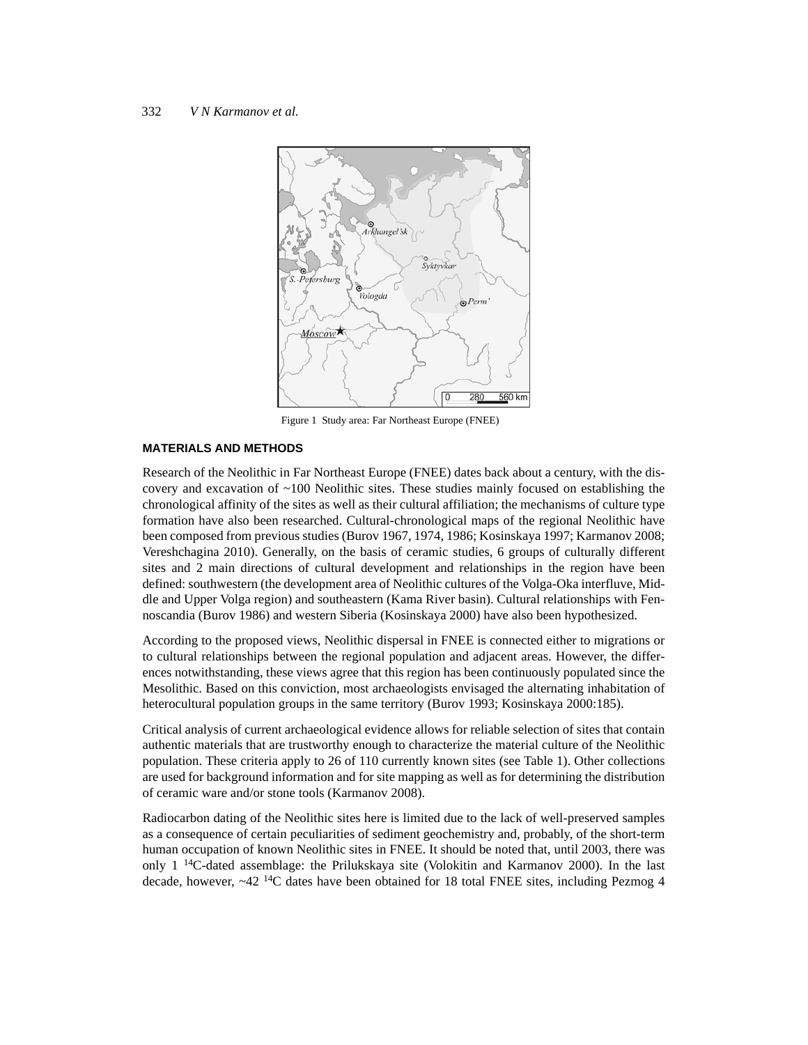

Figure 1 Study area: Far Northeast Europe (FNEE)

## **MATERIALS AND METHODS**

Research of the Neolithic in Far Northeast Europe (FNEE) dates back about a century, with the discovery and excavation of ~100 Neolithic sites. These studies mainly focused on establishing the chronological affinity of the sites as well as their cultural affiliation; the mechanisms of culture type formation have also been researched. Cultural-chronological maps of the regional Neolithic have been composed from previous studies (Burov 1967, 1974, 1986; Kosinskaya 1997; Karmanov 2008; Vereshchagina 2010). Generally, on the basis of ceramic studies, 6 groups of culturally different sites and 2 main directions of cultural development and relationships in the region have been defined: southwestern (the development area of Neolithic cultures of the Volga-Oka interfluve, Middle and Upper Volga region) and southeastern (Kama River basin). Cultural relationships with Fennoscandia (Burov 1986) and western Siberia (Kosinskaya 2000) have also been hypothesized.

According to the proposed views, Neolithic dispersal in FNEE is connected either to migrations or to cultural relationships between the regional population and adjacent areas. However, the differences notwithstanding, these views agree that this region has been continuously populated since the Mesolithic. Based on this conviction, most archaeologists envisaged the alternating inhabitation of heterocultural population groups in the same territory (Burov 1993; Kosinskaya 2000:185).

Critical analysis of current archaeological evidence allows for reliable selection of sites that contain authentic materials that are trustworthy enough to characterize the material culture of the Neolithic population. These criteria apply to 26 of 110 currently known sites (see Table 1). Other collections are used for background information and for site mapping as well as for determining the distribution of ceramic ware and/or stone tools (Karmanov 2008).

Radiocarbon dating of the Neolithic sites here is limited due to the lack of well-preserved samples as a consequence of certain peculiarities of sediment geochemistry and, probably, of the short-term human occupation of known Neolithic sites in FNEE. It should be noted that, until 2003, there was only  $1^{14}$ C-dated assemblage: the Prilukskaya site (Volokitin and Karmanov 2000). In the last decade, however,  $\sim$ 42 <sup>14</sup>C dates have been obtained for 18 total FNEE sites, including Pezmog 4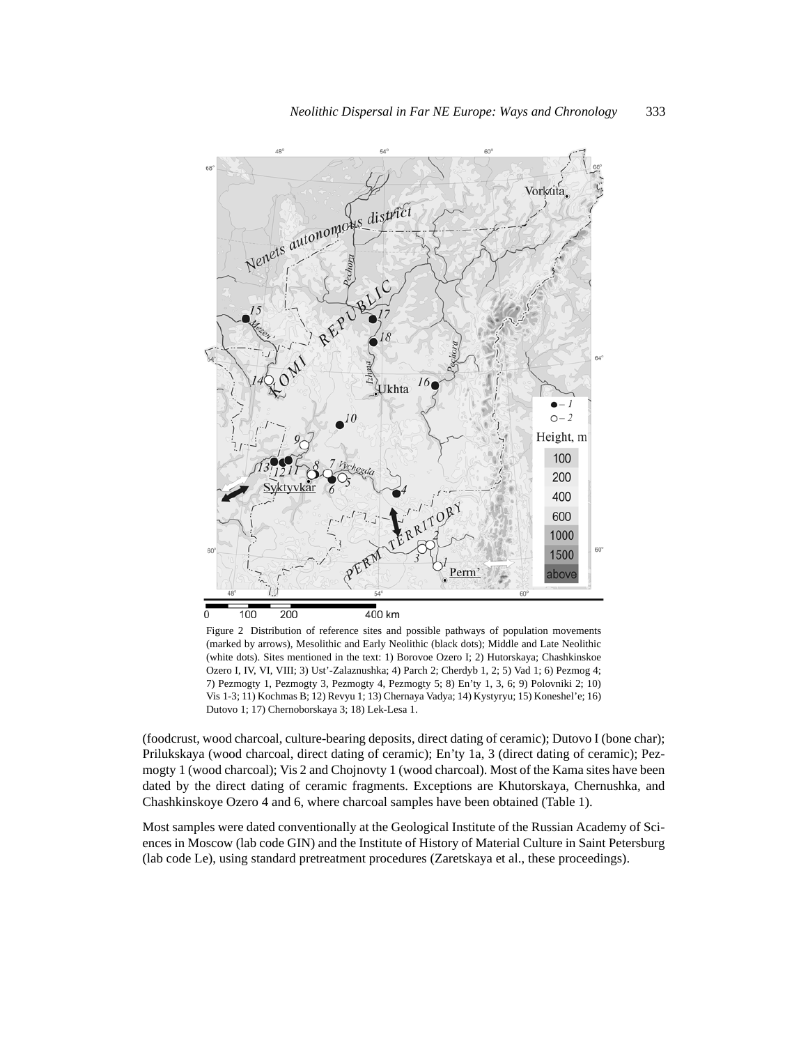

Figure 2 Distribution of reference sites and possible pathways of population movements (marked by arrows), Mesolithic and Early Neolithic (black dots); Middle and Late Neolithic (white dots). Sites mentioned in the text: 1) Borovoe Ozero I; 2) Hutorskaya; Chashkinskoe Ozero I, IV, VI, VIII; 3) Ust'-Zalaznushka; 4) Parch 2; Cherdyb 1, 2; 5) Vad 1; 6) Pezmog 4; 7) Pezmogty 1, Pezmogty 3, Pezmogty 4, Pezmogty 5; 8) En'ty 1, 3, 6; 9) Polovniki 2; 10) Vis 1-3; 11) Kochmas B; 12) Revyu 1; 13) Chernaya Vadya; 14) Kystyryu; 15) Koneshel'e; 16) Dutovo 1; 17) Chernoborskaya 3; 18) Lek-Lesa 1.

(foodcrust, wood charcoal, culture-bearing deposits, direct dating of ceramic); Dutovo I (bone char); Prilukskaya (wood charcoal, direct dating of ceramic); En'ty 1a, 3 (direct dating of ceramic); Pezmogty 1 (wood charcoal); Vis 2 and Chojnovty 1 (wood charcoal). Most of the Kama sites have been dated by the direct dating of ceramic fragments. Exceptions are Khutorskaya, Chernushka, and Chashkinskoye Ozero 4 and 6, where charcoal samples have been obtained (Table 1).

Most samples were dated conventionally at the Geological Institute of the Russian Academy of Sciences in Moscow (lab code GIN) and the Institute of History of Material Culture in Saint Petersburg (lab code Le), using standard pretreatment procedures (Zaretskaya et al., these proceedings).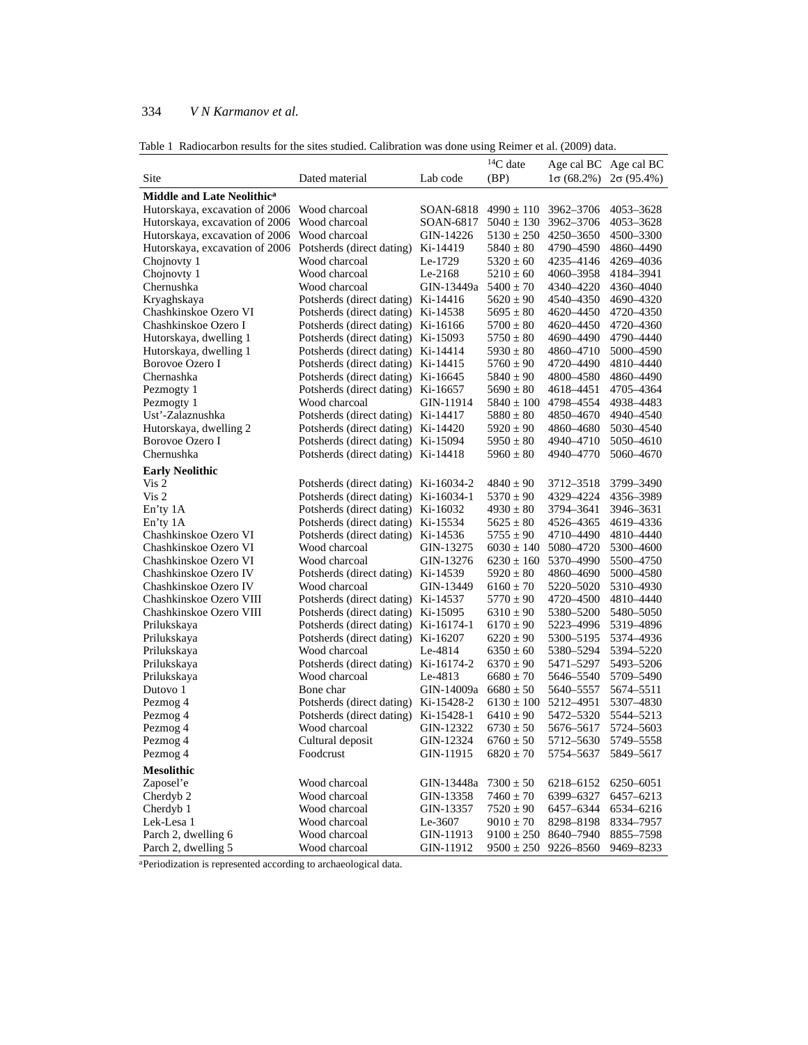# 334 *V N Karmanov et al.*

| Table 1 Radiocarbon results for the sites studied. Calibration was done using Reimer et al. (2009) data. |  |  |  |  |
|----------------------------------------------------------------------------------------------------------|--|--|--|--|
|                                                                                                          |  |  |  |  |

|                                        |                                    |            | $14C$ date     | Age cal BC Age cal BC |                   |
|----------------------------------------|------------------------------------|------------|----------------|-----------------------|-------------------|
| Site                                   | Dated material                     | Lab code   | (BP)           | $1\sigma(68.2\%)$     | $2\sigma(95.4\%)$ |
| Middle and Late Neolithic <sup>a</sup> |                                    |            |                |                       |                   |
| Hutorskaya, excavation of 2006         | Wood charcoal                      | SOAN-6818  | $4990 \pm 110$ | 3962-3706             | 4053-3628         |
| Hutorskaya, excavation of 2006         | Wood charcoal                      | SOAN-6817  | $5040 \pm 130$ | 3962-3706             | 4053–3628         |
| Hutorskaya, excavation of 2006         | Wood charcoal                      | GIN-14226  | $5130 \pm 250$ | 4250–3650             | 4500–3300         |
| Hutorskaya, excavation of 2006         | Potsherds (direct dating)          | Ki-14419   | $5840 \pm 80$  | 4790–4590             | 4860–4490         |
| Chojnovty 1                            | Wood charcoal                      | Le-1729    | $5320 \pm 60$  | 4235–4146             | 4269–4036         |
| Chojnovty 1                            | Wood charcoal                      | Le-2168    | $5210 \pm 60$  | 4060–3958             | 4184–3941         |
| Chernushka                             | Wood charcoal                      | GIN-13449a | $5400 \pm 70$  | 4340–4220             | 4360–4040         |
| Kryaghskaya                            | Potsherds (direct dating)          | Ki-14416   | $5620 \pm 90$  | 4540–4350             | 4690–4320         |
| Chashkinskoe Ozero VI                  | Potsherds (direct dating)          | Ki-14538   | $5695 \pm 80$  | 4620–4450             | 4720–4350         |
| Chashkinskoe Ozero I                   | Potsherds (direct dating)          | Ki-16166   | $5700 \pm 80$  | 4620–4450             | 4720–4360         |
| Hutorskaya, dwelling 1                 | Potsherds (direct dating)          | Ki-15093   | $5750 \pm 80$  | 4690-4490             | 4790–4440         |
| Hutorskaya, dwelling 1                 | Potsherds (direct dating)          | Ki-14414   | $5930 \pm 80$  | 4860–4710             | 5000–4590         |
| Borovoe Ozero I                        | Potsherds (direct dating)          | Ki-14415   | $5760 \pm 90$  | 4720–4490             | 4810–4440         |
| Chernashka                             | Potsherds (direct dating)          | Ki-16645   | $5840 \pm 90$  | 4800–4580             | 4860–4490         |
| Pezmogty 1                             | Potsherds (direct dating)          | Ki-16657   | $5690 \pm 80$  | 4618–4451             | 4705–4364         |
| Pezmogty 1                             | Wood charcoal                      | GIN-11914  | $5840 \pm 100$ | 4798–4554             | 4938–4483         |
| Ust'-Zalaznushka                       | Potsherds (direct dating)          | Ki-14417   | $5880 \pm 80$  | 4850–4670             | 4940-4540         |
| Hutorskaya, dwelling 2                 | Potsherds (direct dating)          | Ki-14420   | $5920 \pm 90$  | 4860-4680             | 5030–4540         |
| Borovoe Ozero I                        | Potsherds (direct dating)          | Ki-15094   | $5950 \pm 80$  | 4940-4710             | 5050–4610         |
| Chernushka                             | Potsherds (direct dating) Ki-14418 |            | $5960 \pm 80$  | 4940–4770             | 5060-4670         |
|                                        |                                    |            |                |                       |                   |
| <b>Early Neolithic</b>                 |                                    |            |                |                       |                   |
| Vis 2                                  | Potsherds (direct dating)          | Ki-16034-2 | $4840 \pm 90$  | 3712–3518             | 3799–3490         |
| Vis <sub>2</sub>                       | Potsherds (direct dating)          | Ki-16034-1 | $5370 \pm 90$  | 4329-4224             | 4356–3989         |
| En'ty 1A                               | Potsherds (direct dating)          | Ki-16032   | $4930 \pm 80$  | 3794–3641             | 3946–3631         |
| En'ty 1A                               | Potsherds (direct dating)          | Ki-15534   | $5625 \pm 80$  | 4526–4365             | 4619–4336         |
| Chashkinskoe Ozero VI                  | Potsherds (direct dating)          | Ki-14536   | $5755 \pm 90$  | 4710-4490             | 4810–4440         |
| Chashkinskoe Ozero VI                  | Wood charcoal                      | GIN-13275  | $6030 \pm 140$ | 5080-4720             | 5300–4600         |
| Chashkinskoe Ozero VI                  | Wood charcoal                      | GIN-13276  | $6230 \pm 160$ | 5370-4990             | 5500–4750         |
| Chashkinskoe Ozero IV                  | Potsherds (direct dating)          | Ki-14539   | $5920 \pm 80$  | 4860–4690             | 5000–4580         |
| Chashkinskoe Ozero IV                  | Wood charcoal                      | GIN-13449  | $6160 \pm 70$  | 5220–5020             | 5310–4930         |
| Chashkinskoe Ozero VIII                | Potsherds (direct dating)          | Ki-14537   | $5770 \pm 90$  | 4720–4500             | 4810–4440         |
| Chashkinskoe Ozero VIII                | Potsherds (direct dating)          | Ki-15095   | $6310 \pm 90$  | 5380-5200             | 5480–5050         |
| Prilukskaya                            | Potsherds (direct dating)          | Ki-16174-1 | $6170 \pm 90$  | 5223–4996             | 5319–4896         |
| Prilukskaya                            | Potsherds (direct dating)          | Ki-16207   | $6220 \pm 90$  | 5300–5195             | 5374–4936         |
| Prilukskaya                            | Wood charcoal                      | Le-4814    | $6350 \pm 60$  | 5380–5294             | 5394–5220         |
| Prilukskaya                            | Potsherds (direct dating)          | Ki-16174-2 | $6370 \pm 90$  | 5471–5297             | 5493–5206         |
| Prilukskaya                            | Wood charcoal                      | Le-4813    | $6680 \pm 70$  | 5646–5540             | 5709–5490         |
| Dutovo 1                               | Bone char                          | GIN-14009a | $6680 \pm 50$  | 5640–5557             | 5674–5511         |
| Pezmog 4                               | Potsherds (direct dating)          | Ki-15428-2 | $6130 \pm 100$ | 5212-4951             | 5307–4830         |
| Pezmog 4                               | Potsherds (direct dating)          | Ki-15428-1 | $6410 \pm 90$  | 5472–5320             | 5544–5213         |
| Pezmog 4                               | Wood charcoal                      | GIN-12322  | $6730 \pm 50$  | 5676–5617             | 5724–5603         |
| Pezmog 4                               | Cultural deposit                   | GIN-12324  | $6760 \pm 50$  | 5712–5630             | 5749–5558         |
| Pezmog 4                               | Foodcrust                          | GIN-11915  | $6820 \pm 70$  | 5754-5637             | 5849-5617         |
| <b>Mesolithic</b>                      |                                    |            |                |                       |                   |
| Zaposel'e                              | Wood charcoal                      | GIN-13448a | $7300 \pm 50$  | 6218-6152             | 6250–6051         |
| Cherdyb 2                              | Wood charcoal                      | GIN-13358  | $7460 \pm 70$  | 6399-6327             | 6457-6213         |
| Cherdyb 1                              | Wood charcoal                      | GIN-13357  | $7520\pm90$    | 6457–6344             | 6534-6216         |
| Lek-Lesa 1                             | Wood charcoal                      | Le-3607    | $9010 \pm 70$  | 8298-8198             | 8334-7957         |
| Parch 2, dwelling 6                    | Wood charcoal                      | GIN-11913  | $9100 \pm 250$ | 8640–7940             | 8855-7598         |
| Parch 2, dwelling 5                    | Wood charcoal                      | GIN-11912  | $9500 \pm 250$ | 9226-8560             | 9469-8233         |

aPeriodization is represented according to archaeological data.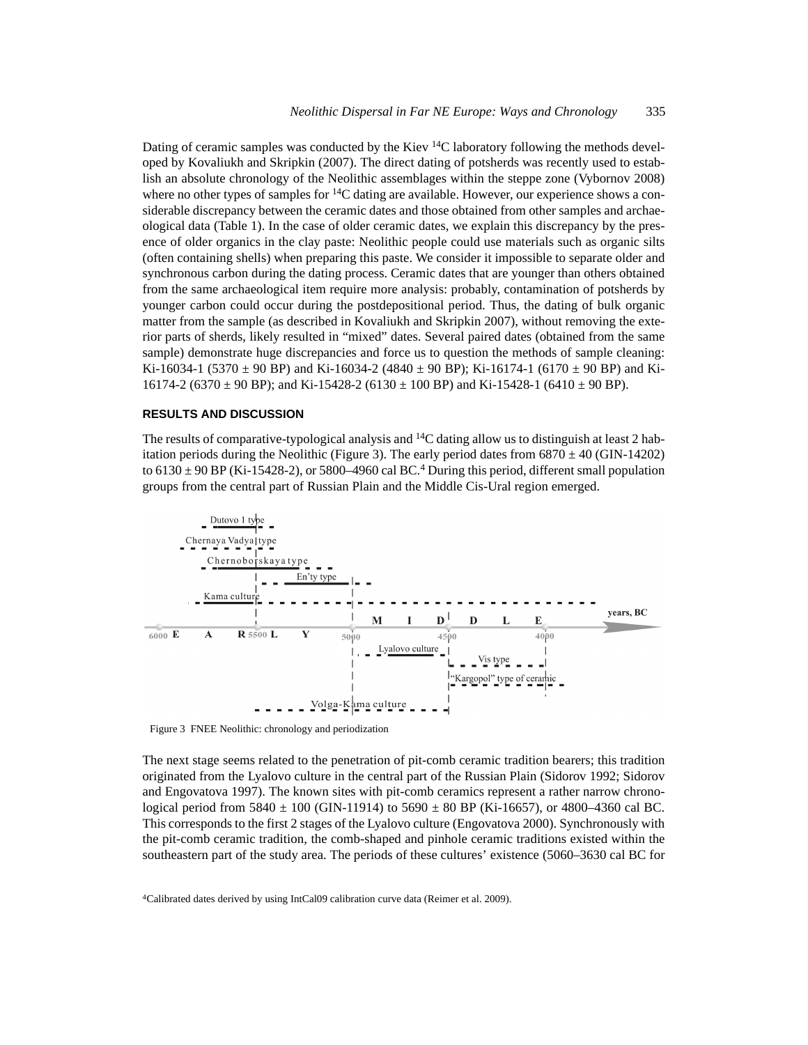Dating of ceramic samples was conducted by the Kiev  $^{14}$ C laboratory following the methods developed by Kovaliukh and Skripkin (2007). The direct dating of potsherds was recently used to establish an absolute chronology of the Neolithic assemblages within the steppe zone (Vybornov 2008) where no other types of samples for  $^{14}C$  dating are available. However, our experience shows a considerable discrepancy between the ceramic dates and those obtained from other samples and archaeological data (Table 1). In the case of older ceramic dates, we explain this discrepancy by the presence of older organics in the clay paste: Neolithic people could use materials such as organic silts (often containing shells) when preparing this paste. We consider it impossible to separate older and synchronous carbon during the dating process. Ceramic dates that are younger than others obtained from the same archaeological item require more analysis: probably, contamination of potsherds by younger carbon could occur during the postdepositional period. Thus, the dating of bulk organic matter from the sample (as described in Kovaliukh and Skripkin 2007), without removing the exterior parts of sherds, likely resulted in "mixed" dates. Several paired dates (obtained from the same sample) demonstrate huge discrepancies and force us to question the methods of sample cleaning: Ki-16034-1 (5370  $\pm$  90 BP) and Ki-16034-2 (4840  $\pm$  90 BP); Ki-16174-1 (6170  $\pm$  90 BP) and Ki-16174-2 (6370  $\pm$  90 BP); and Ki-15428-2 (6130  $\pm$  100 BP) and Ki-15428-1 (6410  $\pm$  90 BP).

## **RESULTS AND DISCUSSION**

The results of comparative-typological analysis and  ${}^{14}C$  dating allow us to distinguish at least 2 habitation periods during the Neolithic (Figure 3). The early period dates from  $6870 \pm 40$  (GIN-14202) to  $6130 \pm 90$  BP (Ki-15428-2), or 5800–4960 cal BC.<sup>4</sup> During this period, different small population groups from the central part of Russian Plain and the Middle Cis-Ural region emerged.



Figure 3 FNEE Neolithic: chronology and periodization

The next stage seems related to the penetration of pit-comb ceramic tradition bearers; this tradition originated from the Lyalovo culture in the central part of the Russian Plain (Sidorov 1992; Sidorov and Engovatova 1997). The known sites with pit-comb ceramics represent a rather narrow chronological period from  $5840 \pm 100$  (GIN-11914) to  $5690 \pm 80$  BP (Ki-16657), or 4800–4360 cal BC. This corresponds to the first 2 stages of the Lyalovo culture (Engovatova 2000). Synchronously with the pit-comb ceramic tradition, the comb-shaped and pinhole ceramic traditions existed within the southeastern part of the study area. The periods of these cultures' existence (5060–3630 cal BC for

4Calibrated dates derived by using IntCal09 calibration curve data (Reimer et al. 2009).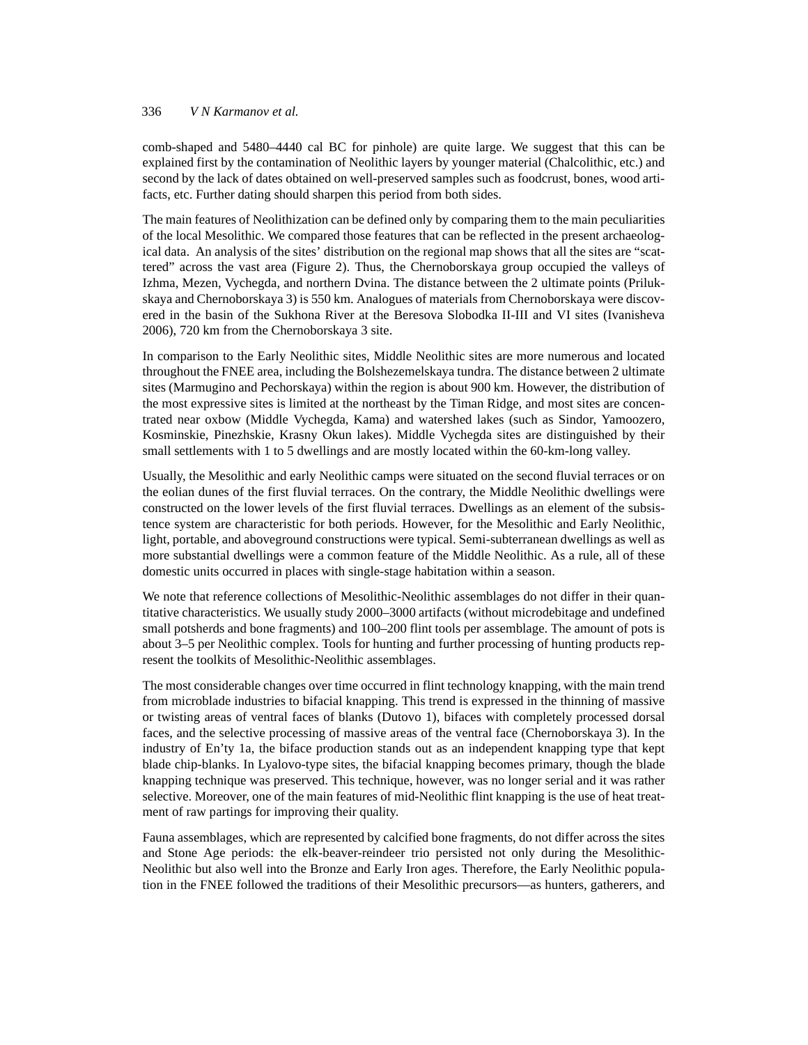## 336 *V N Karmanov et al.*

comb-shaped and 5480–4440 cal BC for pinhole) are quite large. We suggest that this can be explained first by the contamination of Neolithic layers by younger material (Chalcolithic, etc.) and second by the lack of dates obtained on well-preserved samples such as foodcrust, bones, wood artifacts, etc. Further dating should sharpen this period from both sides.

The main features of Neolithization can be defined only by comparing them to the main peculiarities of the local Mesolithic. We compared those features that can be reflected in the present archaeological data. An analysis of the sites' distribution on the regional map shows that all the sites are "scattered" across the vast area (Figure 2). Thus, the Chernoborskaya group occupied the valleys of Izhma, Mezen, Vychegda, and northern Dvina. The distance between the 2 ultimate points (Prilukskaya and Chernoborskaya 3) is 550 km. Analogues of materials from Chernoborskaya were discovered in the basin of the Sukhona River at the Beresova Slobodka II-III and VI sites (Ivanisheva 2006), 720 km from the Chernoborskaya 3 site.

In comparison to the Early Neolithic sites, Middle Neolithic sites are more numerous and located throughout the FNEE area, including the Bolshezemelskaya tundra. The distance between 2 ultimate sites (Marmugino and Pechorskaya) within the region is about 900 km. However, the distribution of the most expressive sites is limited at the northeast by the Timan Ridge, and most sites are concentrated near oxbow (Middle Vychegda, Kama) and watershed lakes (such as Sindor, Yamoozero, Kosminskie, Pinezhskie, Krasny Okun lakes). Middle Vychegda sites are distinguished by their small settlements with 1 to 5 dwellings and are mostly located within the 60-km-long valley.

Usually, the Mesolithic and early Neolithic camps were situated on the second fluvial terraces or on the eolian dunes of the first fluvial terraces. On the contrary, the Middle Neolithic dwellings were constructed on the lower levels of the first fluvial terraces. Dwellings as an element of the subsistence system are characteristic for both periods. However, for the Mesolithic and Early Neolithic, light, portable, and aboveground constructions were typical. Semi-subterranean dwellings as well as more substantial dwellings were a common feature of the Middle Neolithic. As a rule, all of these domestic units occurred in places with single-stage habitation within a season.

We note that reference collections of Mesolithic-Neolithic assemblages do not differ in their quantitative characteristics. We usually study 2000–3000 artifacts (without microdebitage and undefined small potsherds and bone fragments) and 100–200 flint tools per assemblage. The amount of pots is about 3–5 per Neolithic complex. Tools for hunting and further processing of hunting products represent the toolkits of Mesolithic-Neolithic assemblages.

The most considerable changes over time occurred in flint technology knapping, with the main trend from microblade industries to bifacial knapping. This trend is expressed in the thinning of massive or twisting areas of ventral faces of blanks (Dutovo 1), bifaces with completely processed dorsal faces, and the selective processing of massive areas of the ventral face (Chernoborskaya 3). In the industry of En'ty 1a, the biface production stands out as an independent knapping type that kept blade chip-blanks. In Lyalovo-type sites, the bifacial knapping becomes primary, though the blade knapping technique was preserved. This technique, however, was no longer serial and it was rather selective. Moreover, one of the main features of mid-Neolithic flint knapping is the use of heat treatment of raw partings for improving their quality.

Fauna assemblages, which are represented by calcified bone fragments, do not differ across the sites and Stone Age periods: the elk-beaver-reindeer trio persisted not only during the Mesolithic-Neolithic but also well into the Bronze and Early Iron ages. Therefore, the Early Neolithic population in the FNEE followed the traditions of their Mesolithic precursors—as hunters, gatherers, and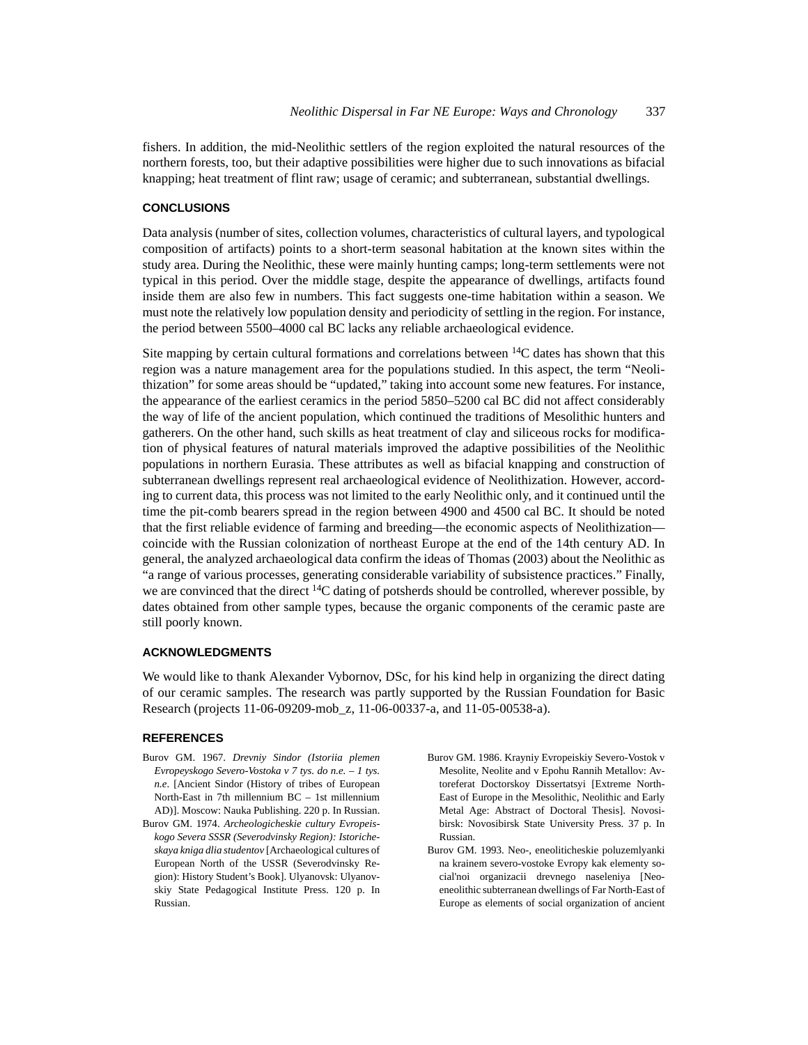fishers. In addition, the mid-Neolithic settlers of the region exploited the natural resources of the northern forests, too, but their adaptive possibilities were higher due to such innovations as bifacial knapping; heat treatment of flint raw; usage of ceramic; and subterranean, substantial dwellings.

## **CONCLUSIONS**

Data analysis (number of sites, collection volumes, characteristics of cultural layers, and typological composition of artifacts) points to a short-term seasonal habitation at the known sites within the study area. During the Neolithic, these were mainly hunting camps; long-term settlements were not typical in this period. Over the middle stage, despite the appearance of dwellings, artifacts found inside them are also few in numbers. This fact suggests one-time habitation within a season. We must note the relatively low population density and periodicity of settling in the region. For instance, the period between 5500–4000 cal BC lacks any reliable archaeological evidence.

Site mapping by certain cultural formations and correlations between  $^{14}C$  dates has shown that this region was a nature management area for the populations studied. In this aspect, the term "Neolithization" for some areas should be "updated," taking into account some new features. For instance, the appearance of the earliest ceramics in the period 5850–5200 cal BC did not affect considerably the way of life of the ancient population, which continued the traditions of Mesolithic hunters and gatherers. On the other hand, such skills as heat treatment of clay and siliceous rocks for modification of physical features of natural materials improved the adaptive possibilities of the Neolithic populations in northern Eurasia. These attributes as well as bifacial knapping and construction of subterranean dwellings represent real archaeological evidence of Neolithization. However, according to current data, this process was not limited to the early Neolithic only, and it continued until the time the pit-comb bearers spread in the region between 4900 and 4500 cal BC. It should be noted that the first reliable evidence of farming and breeding—the economic aspects of Neolithization coincide with the Russian colonization of northeast Europe at the end of the 14th century AD. In general, the analyzed archaeological data confirm the ideas of Thomas (2003) about the Neolithic as "a range of various processes, generating considerable variability of subsistence practices." Finally, we are convinced that the direct  $14C$  dating of potsherds should be controlled, wherever possible, by dates obtained from other sample types, because the organic components of the ceramic paste are still poorly known.

# **ACKNOWLEDGMENTS**

We would like to thank Alexander Vybornov, DSc, for his kind help in organizing the direct dating of our ceramic samples. The research was partly supported by the Russian Foundation for Basic Research (projects 11-06-09209-mob\_z, 11-06-00337-a, and 11-05-00538-a).

#### **REFERENCES**

- Burov GM. 1967. *Drevniy Sindor (Istoriia plemen Evropeyskogo Severo-Vostoka v 7 tys. do n.e. – 1 tys. n.e*. [Ancient Sindor (History of tribes of European North-East in 7th millennium BC – 1st millennium AD)]. Moscow: Nauka Publishing. 220 p. In Russian.
- Burov GM. 1974. *Archeologicheskie cultury Evropeiskogo Severa SSSR (Severodvinsky Region): Istoricheskaya kniga dlia studentov* [Archaeological cultures of European North of the USSR (Severodvinsky Region): History Student's Book]. Ulyanovsk: Ulyanovskiy State Pedagogical Institute Press. 120 p. In Russian.
- Burov GM. 1986. Krayniy Evropeiskiy Severo-Vostok v Mesolite, Neolite and v Epohu Rannih Metallov: Avtoreferat Doctorskoy Dissertatsyi [Extreme North-East of Europe in the Mesolithic, Neolithic and Early Metal Age: Abstract of Doctoral Thesis]. Novosibirsk: Novosibirsk State University Press. 37 p. In Russian.
- Burov GM. 1993. Neo-, eneoliticheskie poluzemlyanki na krainem severo-vostoke Evropy kak elementy social'noi organizacii drevnego naseleniya [Neoeneolithic subterranean dwellings of Far North-East of Europe as elements of social organization of ancient